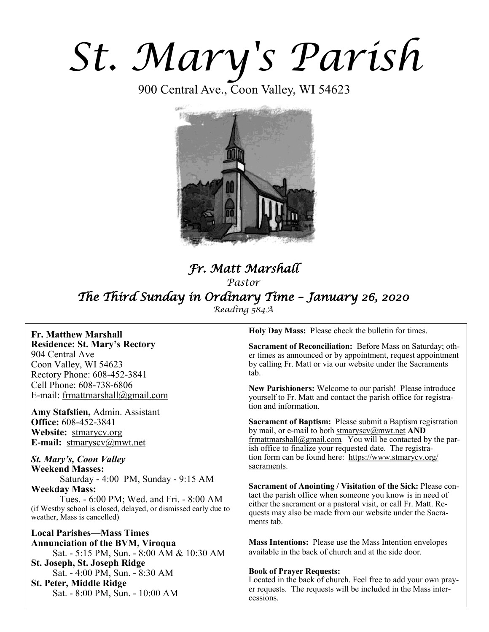# *St. Mary's Parish*

900 Central Ave., Coon Valley, WI 54623



# *Fr. Matt Marshall Pastor The Third Sunday in Ordinary Time – January 26, 2020 Reading 584A*

**Fr. Matthew Marshall Residence: St. Mary's Rectory** 904 Central Ave Coon Valley, WI 54623 Rectory Phone: 608-452-3841 Cell Phone: 608-738-6806 E-mail: [frmattmarshall@gmail.com](mailto:frmattmarshall@gmail.com)

**Amy Stafslien,** Admin. Assistant **Office:** 608-452-3841 **Website:** <stmarycv.org> **E-mail:** [stmaryscv@mwt.net](mailto:stmaryscv@mwt.net)

## *St. Mary's, Coon Valley*  **Weekend Masses:** Saturday - 4:00 PM, Sunday - 9:15 AM **Weekday Mass:**

Tues. - 6:00 PM; Wed. and Fri. - 8:00 AM (if Westby school is closed, delayed, or dismissed early due to weather, Mass is cancelled)

**Local Parishes—Mass Times Annunciation of the BVM, Viroqua** Sat. - 5:15 PM, Sun. - 8:00 AM & 10:30 AM **St. Joseph, St. Joseph Ridge** Sat. - 4:00 PM, Sun. - 8:30 AM **St. Peter, Middle Ridge** Sat. - 8:00 PM, Sun. - 10:00 AM

**Holy Day Mass:** Please check the bulletin for times.

**Sacrament of Reconciliation:** Before Mass on Saturday; other times as announced or by appointment, request appointment by calling Fr. Matt or via our website under the Sacraments tab.

**New Parishioners:** Welcome to our parish! Please introduce yourself to Fr. Matt and contact the parish office for registration and information.

**Sacrament of Baptism:** Please submit a Baptism registration by mail, or e-mail to both [stmaryscv@mwt.net](mailto:stmaryscv@mwt.net) **AND** [frmattmarshall@gmail.com](mailto:frmattmarshall@gmail.com)*.* You will be contacted by the parish office to finalize your requested date. The registration form can be found here: [https://www.stmarycv.org/](https://www.stmarycv.org/sacraments) [sacraments.](https://www.stmarycv.org/sacraments) 

**Sacrament of Anointing / Visitation of the Sick:** Please contact the parish office when someone you know is in need of either the sacrament or a pastoral visit, or call Fr. Matt. Requests may also be made from our website under the Sacraments tab.

**Mass Intentions:** Please use the Mass Intention envelopes available in the back of church and at the side door.

#### **Book of Prayer Requests:**

Located in the back of church. Feel free to add your own prayer requests. The requests will be included in the Mass intercessions.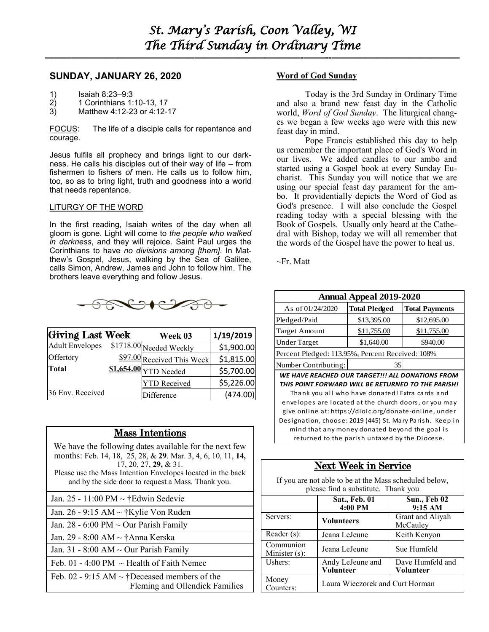**—————————————————————————–———–-——–--—————————————–—**

## **SUNDAY, JANUARY 26, 2020**

- 1) Isaiah 8:23–9:3
- 2) 1 Corinthians 1:10-13, 17
- 3) Matthew 4:12-23 or 4:12-17

FOCUS: The life of a disciple calls for repentance and courage.

Jesus fulfils all prophecy and brings light to our darkness. He calls his disciples out of their way of life – from fishermen to fishers *of* men. He calls us to follow him, too, so as to bring light, truth and goodness into a world that needs repentance.

#### LITURGY OF THE WORD

In the first reading, Isaiah writes of the day when all gloom is gone. Light will come to *the people who walked in darkness*, and they will rejoice. Saint Paul urges the Corinthians to have *no divisions among [them]*. In Matthew's Gospel, Jesus, walking by the Sea of Galilee, calls Simon, Andrew, James and John to follow him. The brothers leave everything and follow Jesus.



| <b>Giving Last Week</b> | Week 03                      | 1/19/2019  |
|-------------------------|------------------------------|------------|
| <b>Adult Envelopes</b>  | \$1718.00 Needed Weekly      | \$1,900.00 |
| Offertory               | \$97.00 Received This Week   | \$1,815.00 |
| Total                   | <b>\$1,654.00</b> YTD Needed | \$5,700.00 |
|                         | <b>YTD</b> Received          | \$5,226.00 |
| 36 Env. Received        | Difference                   | (474.00)   |

## Mass Intentions

| We have the following dates available for the next few<br>months: Feb. 14, 18, 25, 28, & 29. Mar. 3, 4, 6, 10, 11, 14,<br>$17, 20, 27, 29, \& 31.$<br>Please use the Mass Intention Envelopes located in the back<br>and by the side door to request a Mass. Thank you. |
|-------------------------------------------------------------------------------------------------------------------------------------------------------------------------------------------------------------------------------------------------------------------------|
| Jan. 25 - 11:00 PM ~ †Edwin Sedevie                                                                                                                                                                                                                                     |
| Jan. 26 - 9:15 AM $\sim$ †Kylie Von Ruden                                                                                                                                                                                                                               |
| Jan. 28 - 6:00 PM $\sim$ Our Parish Family                                                                                                                                                                                                                              |
| Jan. 29 - 8:00 AM ~ †Anna Kerska                                                                                                                                                                                                                                        |
| Jan. 31 - 8:00 AM $\sim$ Our Parish Family                                                                                                                                                                                                                              |

Feb. 01 - 4:00 PM  $\sim$  Health of Faith Nemec

Feb. 02 - 9:15 AM  $\sim$  †Deceased members of the Fleming and Ollendick Families

#### **Word of God Sunday**

Today is the 3rd Sunday in Ordinary Time and also a brand new feast day in the Catholic world, *Word of God Sunday*. The liturgical changes we began a few weeks ago were with this new feast day in mind.

Pope Francis established this day to help us remember the important place of God's Word in our lives. We added candles to our ambo and started using a Gospel book at every Sunday Eucharist. This Sunday you will notice that we are using our special feast day parament for the ambo. It providentially depicts the Word of God as God's presence. I will also conclude the Gospel reading today with a special blessing with the Book of Gospels. Usually only heard at the Cathedral with Bishop, today we will all remember that the words of the Gospel have the power to heal us.

 $\sim$ Fr. Matt

| <b>Annual Appeal 2019-2020</b>                   |                      |                       |  |  |
|--------------------------------------------------|----------------------|-----------------------|--|--|
| As of 01/24/2020                                 | <b>Total Pledged</b> | <b>Total Payments</b> |  |  |
| Pledged/Paid                                     | \$13,395.00          | \$12,695.00           |  |  |
| <b>Target Amount</b>                             | \$11,755.00          | \$11,755.00           |  |  |
| <b>Under Target</b>                              | \$1,640.00           | \$940.00              |  |  |
| Percent Pledged: 113.95%, Percent Received: 108% |                      |                       |  |  |
| Number Contributing:                             | 35                   |                       |  |  |

*WE HAVE REACHED OUR TARGET!!! ALL DONATIONS FROM THIS POINT FORWARD WILL BE RETURNED TO THE PARISH!*  Thank you all who have donated! Extra cards and envelopes are located at the church doors, or you may give online at: https://diolc.org/donate-online, under Designation, choose: 2019 (445) St. Mary Parish. Keep in mind that any money donated beyond the goal is returned to the parish untaxed by the Diocese.

# Next Week in Service

If you are not able to be at the Mass scheduled below, please find a substitute. Thank you

|                            | Sat., Feb. 01<br>4:00 PM        | Sun., Feb 02<br>9:15 AM       |  |  |
|----------------------------|---------------------------------|-------------------------------|--|--|
| Servers:                   | <b>Volunteers</b>               | Grant and Aliyah<br>McCauley  |  |  |
| Reader (s):                | Jeana LeJeune                   | Keith Kenyon                  |  |  |
| Communion<br>Minister (s): | Jeana LeJeune                   | Sue Humfeld                   |  |  |
| Ushers:                    | Andy LeJeune and<br>Volunteer   | Dave Humfeld and<br>Volunteer |  |  |
| Money<br>Counters:         | Laura Wieczorek and Curt Horman |                               |  |  |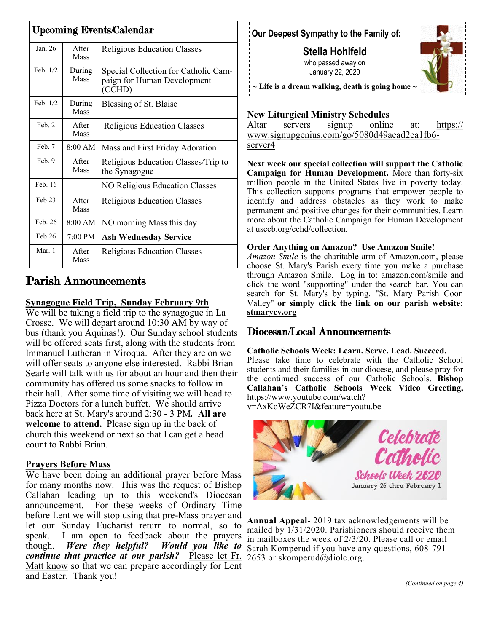| <b>Upcoming Events/Calendar</b> |                   |                                                                               |  |  |
|---------------------------------|-------------------|-------------------------------------------------------------------------------|--|--|
| Jan. 26                         | A fter<br>Mass    | <b>Religious Education Classes</b>                                            |  |  |
| Feb. 1/2                        | During<br>Mass    | Special Collection for Catholic Cam-<br>paign for Human Development<br>(CCHD) |  |  |
| Feb. 1/2                        | During<br>Mass    | Blessing of St. Blaise                                                        |  |  |
| Feb. 2                          | A fter<br>Mass    | <b>Religious Education Classes</b>                                            |  |  |
| Feb. 7                          | 8:00 AM           | Mass and First Friday Adoration                                               |  |  |
| Feb. 9                          | A fter<br>Mass    | Religious Education Classes/Trip to<br>the Synagogue                          |  |  |
| Feb. 16                         |                   | NO Religious Education Classes                                                |  |  |
| Feb 23                          | A fter<br>Mass    | <b>Religious Education Classes</b>                                            |  |  |
| Feb. 26                         | 8:00 AM           | NO morning Mass this day                                                      |  |  |
| Feb 26                          | $7:00 \text{ PM}$ | Ash Wednesday Service                                                         |  |  |
| Mar. 1                          | A fter<br>Mass    | <b>Religious Education Classes</b>                                            |  |  |

# Parish Announcements

# **Synagogue Field Trip, Sunday February 9th**

We will be taking a field trip to the synagogue in La Crosse. We will depart around 10:30 AM by way of bus (thank you Aquinas!). Our Sunday school students will be offered seats first, along with the students from Immanuel Lutheran in Viroqua. After they are on we will offer seats to anyone else interested. Rabbi Brian Searle will talk with us for about an hour and then their community has offered us some snacks to follow in their hall. After some time of visiting we will head to Pizza Doctors for a lunch buffet. We should arrive back here at St. Mary's around 2:30 - 3 PM*.* **All are welcome to attend.** Please sign up in the back of church this weekend or next so that I can get a head count to Rabbi Brian.

## **Prayers Before Mass**

We have been doing an additional prayer before Mass for many months now. This was the request of Bishop Callahan leading up to this weekend's Diocesan announcement. For these weeks of Ordinary Time before Lent we will stop using that pre-Mass prayer and let our Sunday Eucharist return to normal, so to speak. I am open to feedback about the prayers though. *Were they helpful? Would you like to continue that practice at our parish?* Please let Fr. Matt know so that we can prepare accordingly for Lent and Easter. Thank you!

# **Our Deepest Sympathy to the Family of:**

**Stella Hohlfeld**  who passed away on January 22, 2020



**~ Life is a dream walking, death is going home ~**

# **New Liturgical Ministry Schedules**

Altar servers signup online at: [https://](https://www.signupgenius.com/go/5080d49aead2ea1fb6-server4) [www.signupgenius.com/go/5080d49aead2ea1fb6](https://www.signupgenius.com/go/5080d49aead2ea1fb6-server4) [server4](https://www.signupgenius.com/go/5080d49aead2ea1fb6-server4)

**Next week our special collection will support the Catholic Campaign for Human Development.** More than forty-six million people in the United States live in poverty today. This collection supports programs that empower people to identify and address obstacles as they work to make permanent and positive changes for their communities. Learn more about the Catholic Campaign for Human Development at usccb.org/cchd/collection.

## **Order Anything on Amazon? Use Amazon Smile!**

*Amazon Smile* is the charitable arm of Amazon.com, please choose St. Mary's Parish every time you make a purchase through Amazon Smile. Log in to: [amazon.com/smile](http://amazon.com/smile) and click the word "supporting" under the search bar. You can search for St. Mary's by typing, "St. Mary Parish Coon Valley" **or simply click the link on our parish website: <stmarycv.org>**

# Diocesan/Local Announcements

## **Catholic Schools Week: Learn. Serve. Lead. Succeed.**

Please take time to celebrate with the Catholic School students and their families in our diocese, and please pray for the continued success of our Catholic Schools. **Bishop Callahan's Catholic Schools Week Video Greeting,**  https://www.youtube.com/watch?

v=AxKoWeZCR7I&feature=youtu.be



**Annual Appeal-** 2019 tax acknowledgements will be mailed by 1/31/2020. Parishioners should receive them in mailboxes the week of 2/3/20. Please call or email Sarah Komperud if you have any questions, 608-791- 2653 or skomperud@diolc.org.